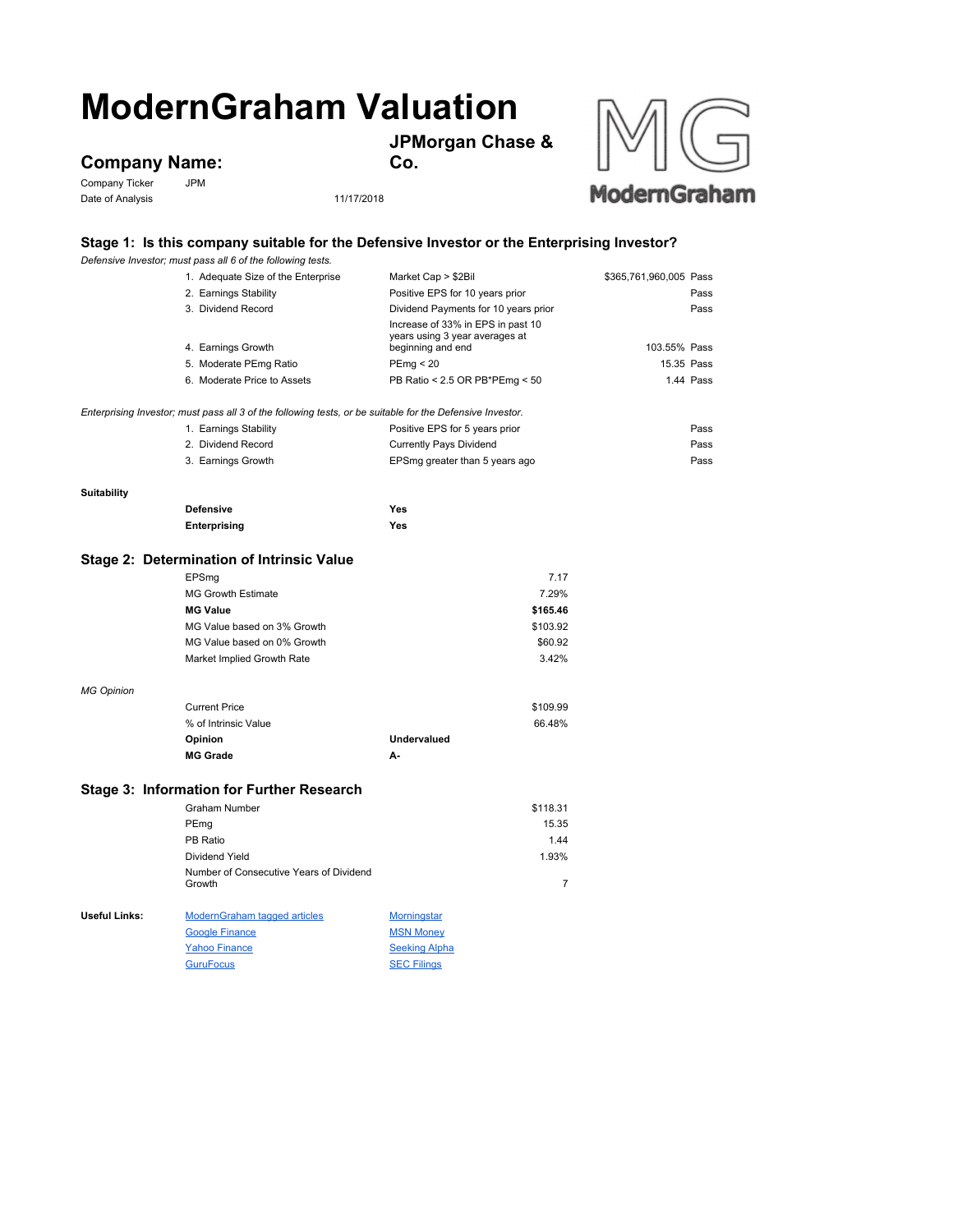## **ModernGraham Valuation**

**JPMorgan Chase &** 

**Company Name:**<br>Company Ticker<br>JPM

Company Ticker Date of Analysis 11/17/2018

**Co.**



## **Stage 1: Is this company suitable for the Defensive Investor or the Enterprising Investor?**

|                                           | Defensive Investor; must pass all 6 of the following tests.                                               |                                                                                          |                        |  |
|-------------------------------------------|-----------------------------------------------------------------------------------------------------------|------------------------------------------------------------------------------------------|------------------------|--|
|                                           | 1. Adequate Size of the Enterprise                                                                        | Market Cap > \$2Bil                                                                      | \$365,761,960,005 Pass |  |
|                                           | 2. Earnings Stability                                                                                     | Positive EPS for 10 years prior                                                          | Pass                   |  |
|                                           | 3. Dividend Record                                                                                        | Dividend Payments for 10 years prior                                                     | Pass                   |  |
|                                           | 4. Earnings Growth                                                                                        | Increase of 33% in EPS in past 10<br>years using 3 year averages at<br>beginning and end | 103.55% Pass           |  |
|                                           | 5. Moderate PEmg Ratio                                                                                    | PEmp < 20                                                                                | 15.35 Pass             |  |
|                                           | 6. Moderate Price to Assets                                                                               | PB Ratio < 2.5 OR PB*PEmg < 50                                                           | 1.44 Pass              |  |
|                                           |                                                                                                           |                                                                                          |                        |  |
|                                           | Enterprising Investor; must pass all 3 of the following tests, or be suitable for the Defensive Investor. |                                                                                          |                        |  |
|                                           | 1. Earnings Stability                                                                                     | Positive EPS for 5 years prior                                                           | Pass                   |  |
|                                           | 2. Dividend Record                                                                                        | <b>Currently Pays Dividend</b>                                                           | Pass                   |  |
|                                           | 3. Earnings Growth                                                                                        | EPSmg greater than 5 years ago                                                           | Pass                   |  |
|                                           |                                                                                                           |                                                                                          |                        |  |
| <b>Suitability</b>                        | <b>Defensive</b>                                                                                          | Yes                                                                                      |                        |  |
|                                           |                                                                                                           | Yes                                                                                      |                        |  |
|                                           | Enterprising                                                                                              |                                                                                          |                        |  |
| Stage 2: Determination of Intrinsic Value |                                                                                                           |                                                                                          |                        |  |
|                                           | EPSmg                                                                                                     | 7.17                                                                                     |                        |  |
|                                           | <b>MG Growth Estimate</b>                                                                                 | 7.29%                                                                                    |                        |  |
|                                           | <b>MG Value</b>                                                                                           | \$165.46                                                                                 |                        |  |
|                                           | MG Value based on 3% Growth                                                                               | \$103.92                                                                                 |                        |  |
|                                           | MG Value based on 0% Growth                                                                               | \$60.92                                                                                  |                        |  |
|                                           | Market Implied Growth Rate                                                                                | 3.42%                                                                                    |                        |  |
| <b>MG Opinion</b>                         |                                                                                                           |                                                                                          |                        |  |
|                                           | <b>Current Price</b>                                                                                      | \$109.99                                                                                 |                        |  |
|                                           | % of Intrinsic Value                                                                                      | 66.48%                                                                                   |                        |  |
|                                           | Opinion                                                                                                   | <b>Undervalued</b>                                                                       |                        |  |
|                                           | <b>MG Grade</b>                                                                                           | А-                                                                                       |                        |  |
|                                           |                                                                                                           |                                                                                          |                        |  |
|                                           | Stage 3: Information for Further Research<br><b>Graham Number</b>                                         | \$118.31                                                                                 |                        |  |
|                                           |                                                                                                           | 15.35                                                                                    |                        |  |
|                                           | PEmg<br>PB Ratio                                                                                          | 1.44                                                                                     |                        |  |
|                                           |                                                                                                           |                                                                                          |                        |  |
|                                           | Dividend Yield<br>Number of Consecutive Years of Dividend                                                 | 1.93%                                                                                    |                        |  |
|                                           | Growth                                                                                                    | $\overline{7}$                                                                           |                        |  |
| Useful Links:                             | <b>ModernGraham tagged articles</b>                                                                       | <b>Morningstar</b>                                                                       |                        |  |
|                                           | <b>Google Finance</b>                                                                                     | <b>MSN Money</b>                                                                         |                        |  |
|                                           | <b>Yahoo Finance</b>                                                                                      | <b>Seeking Alpha</b>                                                                     |                        |  |
|                                           | <b>GuruFocus</b>                                                                                          | <b>SEC Filings</b>                                                                       |                        |  |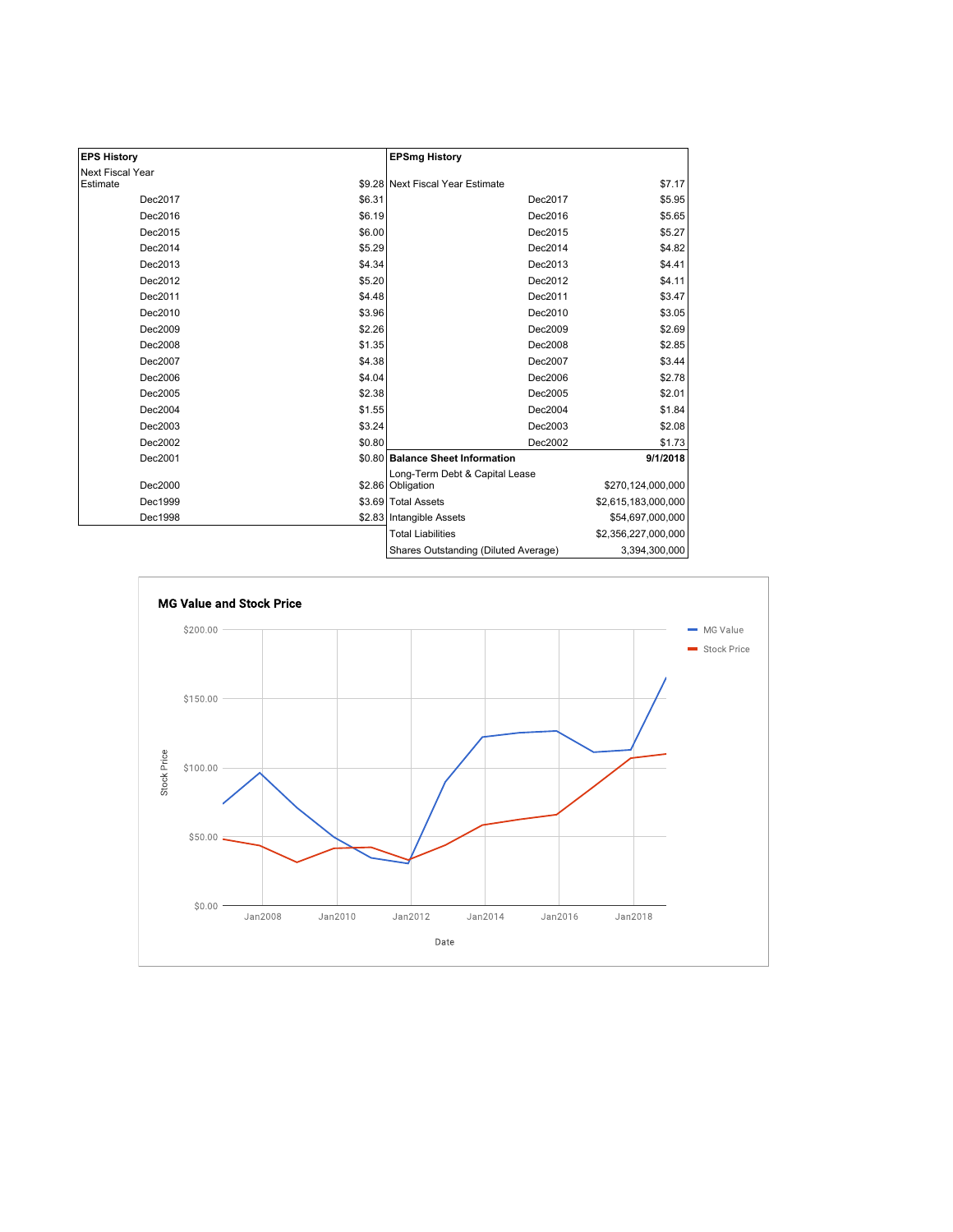| <b>EPS History</b> |        | <b>EPSmg History</b>                                |                     |
|--------------------|--------|-----------------------------------------------------|---------------------|
| Next Fiscal Year   |        |                                                     |                     |
| Estimate           |        | \$9.28 Next Fiscal Year Estimate                    | \$7.17              |
| Dec2017            | \$6.31 | Dec2017                                             | \$5.95              |
| Dec2016            | \$6.19 | Dec2016                                             | \$5.65              |
| Dec2015            | \$6.00 | Dec2015                                             | \$5.27              |
| Dec2014            | \$5.29 | Dec2014                                             | \$4.82              |
| Dec2013            | \$4.34 | Dec2013                                             | \$4.41              |
| Dec2012            | \$5.20 | Dec2012                                             | \$4.11              |
| Dec2011            | \$4.48 | Dec2011                                             | \$3.47              |
| Dec2010            | \$3.96 | Dec2010                                             | \$3.05              |
| Dec2009            | \$2.26 | Dec2009                                             | \$2.69              |
| Dec2008            | \$1.35 | Dec2008                                             | \$2.85              |
| Dec2007            | \$4.38 | Dec2007                                             | \$3.44              |
| Dec2006            | \$4.04 | Dec2006                                             | \$2.78              |
| Dec2005            | \$2.38 | Dec2005                                             | \$2.01              |
| Dec2004            | \$1.55 | Dec2004                                             | \$1.84              |
| Dec2003            | \$3.24 | Dec2003                                             | \$2.08              |
| Dec2002            | \$0.80 | Dec2002                                             | \$1.73              |
| Dec2001            |        | \$0.80 Balance Sheet Information                    | 9/1/2018            |
| Dec2000            |        | Long-Term Debt & Capital Lease<br>\$2.86 Obligation | \$270,124,000,000   |
| Dec1999            |        | \$3.69 Total Assets                                 | \$2,615,183,000,000 |
| Dec1998            |        | \$2.83 Intangible Assets                            | \$54,697,000,000    |
|                    |        | <b>Total Liabilities</b>                            | \$2,356,227,000,000 |
|                    |        | Shares Outstanding (Diluted Average)                | 3,394,300,000       |